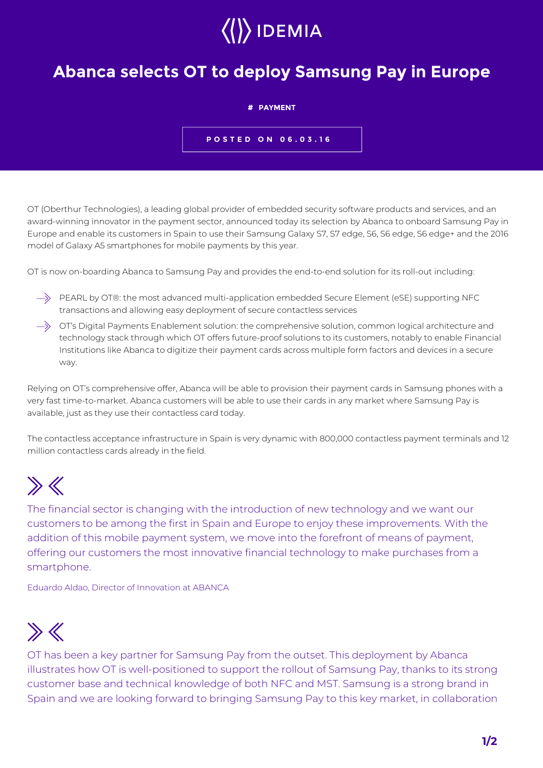# $\langle\langle\rangle\rangle$  IDEMIA

### **Abanca selects OT to deploy Samsung Pay in Europe**

#### **# PAYMENT**

**POSTED ON 06.03.16**

OT (Oberthur Technologies), a leading global provider of embedded security software products and services, and an award-winning innovator in the payment sector, announced today its selection by Abanca to onboard Samsung Pay in Europe and enable its customers in Spain to use their Samsung Galaxy S7, S7 edge, S6, S6 edge, S6 edge+ and the 2016 model of Galaxy A5 smartphones for mobile payments by this year.

OT is now on-boarding Abanca to Samsung Pay and provides the end-to-end solution for its roll-out including:

- $\Rightarrow$  PEARL by OT®: the most advanced multi-application embedded Secure Element (eSE) supporting NFC transactions and allowing easy deployment of secure contactless services
- $\rightarrow$  OT's Digital Payments Enablement solution: the comprehensive solution, common logical architecture and technology stack through which OT offers future-proof solutions to its customers, notably to enable Financial Institutions like Abanca to digitize their payment cards across multiple form factors and devices in a secure way.

Relying on OT's comprehensive offer, Abanca will be able to provision their payment cards in Samsung phones with a very fast time-to-market. Abanca customers will be able to use their cards in any market where Samsung Pay is available, just as they use their contactless card today.

The contactless acceptance infrastructure in Spain is very dynamic with 800,000 contactless payment terminals and 12 million contactless cards already in the field.

## $\gg K$

The financial sector is changing with the introduction of new technology and we want our customers to be among the first in Spain and Europe to enjoy these improvements. With the addition of this mobile payment system, we move into the forefront of means of payment, offering our customers the most innovative financial technology to make purchases from a smartphone.

Eduardo Aldao, Director of Innovation at ABANCA

### $\gg K$

OT has been a key partner for Samsung Pay from the outset. This deployment by Abanca illustrates how OT is well-positioned to support the rollout of Samsung Pay, thanks to its strong customer base and technical knowledge of both NFC and MST. Samsung is a strong brand in Spain and we are looking forward to bringing Samsung Pay to this key market, in collaboration